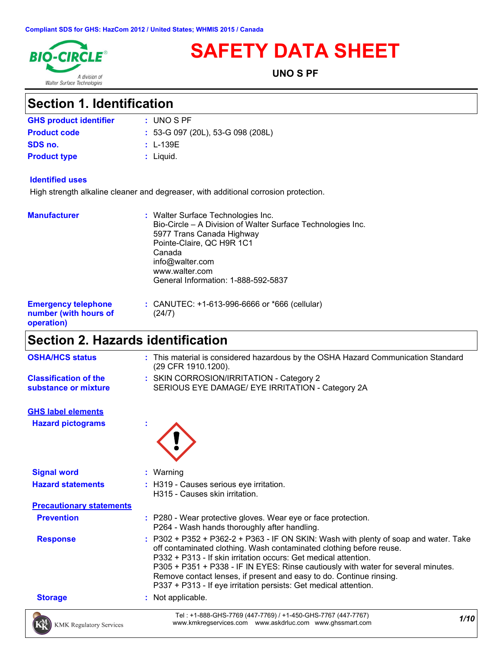

# **SAFETY DATA SHEET**

**UNO S PF**

# **Section 1. Identification**

| <b>GHS product identifier</b> | $:$ UNO S PF                        |
|-------------------------------|-------------------------------------|
| <b>Product code</b>           | $: 53-G 097 (20L), 53-G 098 (208L)$ |
| SDS no.                       | : L-139E                            |
| <b>Product type</b>           | : Liguid.                           |

#### **Identified uses**

High strength alkaline cleaner and degreaser, with additional corrosion protection.

| <b>Manufacturer</b>                                               | : Walter Surface Technologies Inc.<br>Bio-Circle – A Division of Walter Surface Technologies Inc.<br>5977 Trans Canada Highway<br>Pointe-Claire, QC H9R 1C1<br>Canada<br>info@walter.com<br>www.walter.com<br>General Information: 1-888-592-5837 |
|-------------------------------------------------------------------|---------------------------------------------------------------------------------------------------------------------------------------------------------------------------------------------------------------------------------------------------|
| <b>Emergency telephone</b><br>number (with hours of<br>operation) | : CANUTEC: $+1-613-996-6666$ or $*666$ (cellular)<br>(24/7)                                                                                                                                                                                       |

# **Section 2. Hazards identification**

| <b>OSHA/HCS status</b>                               | : This material is considered hazardous by the OSHA Hazard Communication Standard<br>(29 CFR 1910.1200).                                                                                                                                                                                                                                                                                                                                                         |
|------------------------------------------------------|------------------------------------------------------------------------------------------------------------------------------------------------------------------------------------------------------------------------------------------------------------------------------------------------------------------------------------------------------------------------------------------------------------------------------------------------------------------|
| <b>Classification of the</b><br>substance or mixture | : SKIN CORROSION/IRRITATION - Category 2<br>SERIOUS EYE DAMAGE/ EYE IRRITATION - Category 2A                                                                                                                                                                                                                                                                                                                                                                     |
| <b>GHS label elements</b>                            |                                                                                                                                                                                                                                                                                                                                                                                                                                                                  |
| <b>Hazard pictograms</b>                             |                                                                                                                                                                                                                                                                                                                                                                                                                                                                  |
| <b>Signal word</b>                                   | $:$ Warning                                                                                                                                                                                                                                                                                                                                                                                                                                                      |
| <b>Hazard statements</b>                             | : H319 - Causes serious eye irritation.<br>H315 - Causes skin irritation.                                                                                                                                                                                                                                                                                                                                                                                        |
| <b>Precautionary statements</b>                      |                                                                                                                                                                                                                                                                                                                                                                                                                                                                  |
| <b>Prevention</b>                                    | : P280 - Wear protective gloves. Wear eye or face protection.<br>P264 - Wash hands thoroughly after handling.                                                                                                                                                                                                                                                                                                                                                    |
| <b>Response</b>                                      | $: P302 + P352 + P362-2 + P363 - IF ON SKIN: Wash with plenty of soap and water. Take$<br>off contaminated clothing. Wash contaminated clothing before reuse.<br>P332 + P313 - If skin irritation occurs: Get medical attention.<br>P305 + P351 + P338 - IF IN EYES: Rinse cautiously with water for several minutes.<br>Remove contact lenses, if present and easy to do. Continue rinsing.<br>P337 + P313 - If eye irritation persists: Get medical attention. |
| <b>Storage</b>                                       | : Not applicable.                                                                                                                                                                                                                                                                                                                                                                                                                                                |
| <b>KMK Regulatory Services</b>                       | Tel: +1-888-GHS-7769 (447-7769) / +1-450-GHS-7767 (447-7767)<br>1/10<br>www.kmkregservices.com www.askdrluc.com www.ghssmart.com                                                                                                                                                                                                                                                                                                                                 |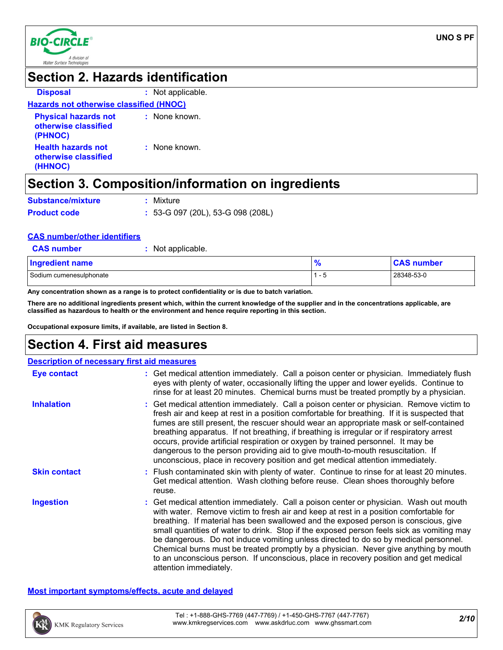

### **Section 2. Hazards identification**

| <b>Disposal</b>                                                | : Not applicable. |
|----------------------------------------------------------------|-------------------|
| <b>Hazards not otherwise classified (HNOC)</b>                 |                   |
| <b>Physical hazards not</b><br>otherwise classified<br>(PHNOC) | : None known.     |
| <b>Health hazards not</b><br>otherwise classified<br>(HHNOC)   | : None known.     |

# **Section 3. Composition/information on ingredients**

| <b>Substance/mixture</b> | : Mixture                           |
|--------------------------|-------------------------------------|
| <b>Product code</b>      | $: 53-G 097 (20L), 53-G 098 (208L)$ |

#### **CAS number/other identifiers**

**:** Not applicable.

| <b>Ingredient name</b>  | $\bullet$                | ıumber     |  |
|-------------------------|--------------------------|------------|--|
| Sodium cumenesulphonate | $\overline{\phantom{0}}$ | 28348-53-0 |  |

**Any concentration shown as a range is to protect confidentiality or is due to batch variation.**

**There are no additional ingredients present which, within the current knowledge of the supplier and in the concentrations applicable, are classified as hazardous to health or the environment and hence require reporting in this section.**

**Occupational exposure limits, if available, are listed in Section 8.**

### **Section 4. First aid measures**

| <b>Description of necessary first aid measures</b> |                                                                                                                                                                                                                                                                                                                                                                                                                                                                                                                                                                                                                                                                      |
|----------------------------------------------------|----------------------------------------------------------------------------------------------------------------------------------------------------------------------------------------------------------------------------------------------------------------------------------------------------------------------------------------------------------------------------------------------------------------------------------------------------------------------------------------------------------------------------------------------------------------------------------------------------------------------------------------------------------------------|
| Eye contact                                        | : Get medical attention immediately. Call a poison center or physician. Immediately flush<br>eyes with plenty of water, occasionally lifting the upper and lower eyelids. Continue to<br>rinse for at least 20 minutes. Chemical burns must be treated promptly by a physician.                                                                                                                                                                                                                                                                                                                                                                                      |
| <b>Inhalation</b>                                  | : Get medical attention immediately. Call a poison center or physician. Remove victim to<br>fresh air and keep at rest in a position comfortable for breathing. If it is suspected that<br>fumes are still present, the rescuer should wear an appropriate mask or self-contained<br>breathing apparatus. If not breathing, if breathing is irregular or if respiratory arrest<br>occurs, provide artificial respiration or oxygen by trained personnel. It may be<br>dangerous to the person providing aid to give mouth-to-mouth resuscitation. If<br>unconscious, place in recovery position and get medical attention immediately.                               |
| <b>Skin contact</b>                                | : Flush contaminated skin with plenty of water. Continue to rinse for at least 20 minutes.<br>Get medical attention. Wash clothing before reuse. Clean shoes thoroughly before<br>reuse.                                                                                                                                                                                                                                                                                                                                                                                                                                                                             |
| <b>Ingestion</b>                                   | : Get medical attention immediately. Call a poison center or physician. Wash out mouth<br>with water. Remove victim to fresh air and keep at rest in a position comfortable for<br>breathing. If material has been swallowed and the exposed person is conscious, give<br>small quantities of water to drink. Stop if the exposed person feels sick as vomiting may<br>be dangerous. Do not induce vomiting unless directed to do so by medical personnel.<br>Chemical burns must be treated promptly by a physician. Never give anything by mouth<br>to an unconscious person. If unconscious, place in recovery position and get medical<br>attention immediately. |

#### **Most important symptoms/effects, acute and delayed**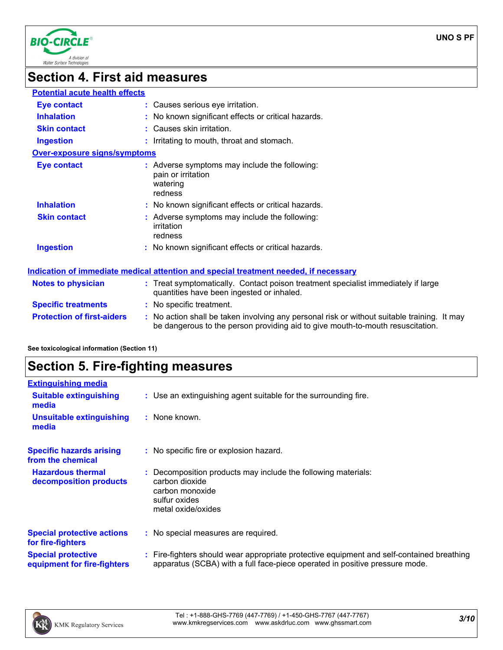

# **Section 4. First aid measures**

| <b>Potential acute health effects</b> |                                                                                                                                                                               |
|---------------------------------------|-------------------------------------------------------------------------------------------------------------------------------------------------------------------------------|
| <b>Eye contact</b>                    | : Causes serious eye irritation.                                                                                                                                              |
| <b>Inhalation</b>                     | : No known significant effects or critical hazards.                                                                                                                           |
| <b>Skin contact</b>                   | : Causes skin irritation.                                                                                                                                                     |
| <b>Ingestion</b>                      | : Irritating to mouth, throat and stomach.                                                                                                                                    |
| <b>Over-exposure signs/symptoms</b>   |                                                                                                                                                                               |
| Eye contact                           | : Adverse symptoms may include the following:<br>pain or irritation<br>watering<br>redness                                                                                    |
| <b>Inhalation</b>                     | : No known significant effects or critical hazards.                                                                                                                           |
| <b>Skin contact</b>                   | Adverse symptoms may include the following:<br>irritation<br>redness                                                                                                          |
| <b>Ingestion</b>                      | : No known significant effects or critical hazards.                                                                                                                           |
|                                       | <u>Indication of immediate medical attention and special treatment needed, if necessary</u>                                                                                   |
| Notes to physician                    | : Treat symptomatically. Contact poison treatment specialist immediately if large<br>quantities have been ingested or inhaled.                                                |
| <b>Specific treatments</b>            | : No specific treatment.                                                                                                                                                      |
| <b>Protection of first-aiders</b>     | : No action shall be taken involving any personal risk or without suitable training. It may<br>be dangerous to the person providing aid to give mouth-to-mouth resuscitation. |

#### **See toxicological information (Section 11)**

# **Section 5. Fire-fighting measures**

| <b>Extinguishing media</b>                               |                                                                                                                                                                          |
|----------------------------------------------------------|--------------------------------------------------------------------------------------------------------------------------------------------------------------------------|
| <b>Suitable extinguishing</b><br>media                   | : Use an extinguishing agent suitable for the surrounding fire.                                                                                                          |
| <b>Unsuitable extinguishing</b><br>media                 | : None known.                                                                                                                                                            |
| <b>Specific hazards arising</b><br>from the chemical     | : No specific fire or explosion hazard.                                                                                                                                  |
| <b>Hazardous thermal</b><br>decomposition products       | : Decomposition products may include the following materials:<br>carbon dioxide<br>carbon monoxide<br>sulfur oxides<br>metal oxide/oxides                                |
| <b>Special protective actions</b><br>for fire-fighters   | : No special measures are required.                                                                                                                                      |
| <b>Special protective</b><br>equipment for fire-fighters | : Fire-fighters should wear appropriate protective equipment and self-contained breathing<br>apparatus (SCBA) with a full face-piece operated in positive pressure mode. |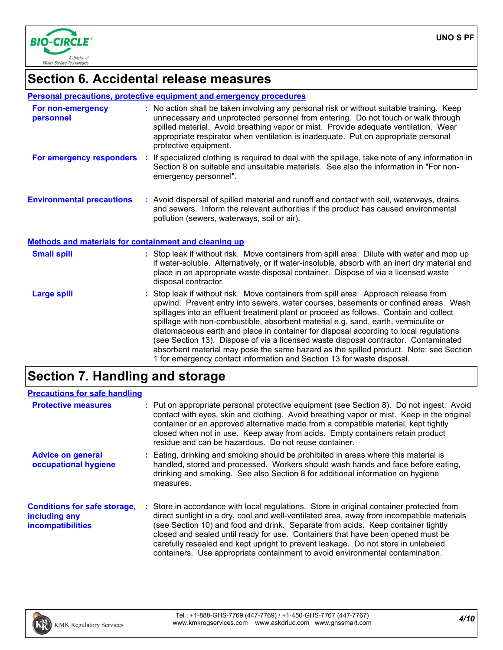

### **Section 6. Accidental release measures**

#### **Personal precautions, protective equipment and emergency procedures**

| For non-emergency<br>personnel                        |  | : No action shall be taken involving any personal risk or without suitable training. Keep<br>unnecessary and unprotected personnel from entering. Do not touch or walk through<br>spilled material. Avoid breathing vapor or mist. Provide adequate ventilation. Wear<br>appropriate respirator when ventilation is inadequate. Put on appropriate personal<br>protective equipment. |  |
|-------------------------------------------------------|--|--------------------------------------------------------------------------------------------------------------------------------------------------------------------------------------------------------------------------------------------------------------------------------------------------------------------------------------------------------------------------------------|--|
| For emergency responders                              |  | : If specialized clothing is required to deal with the spillage, take note of any information in<br>Section 8 on suitable and unsuitable materials. See also the information in "For non-<br>emergency personnel".                                                                                                                                                                   |  |
| <b>Environmental precautions</b>                      |  | : Avoid dispersal of spilled material and runoff and contact with soil, waterways, drains<br>and sewers. Inform the relevant authorities if the product has caused environmental<br>pollution (sewers, waterways, soil or air).                                                                                                                                                      |  |
| Methods and materials for containment and cleaning up |  |                                                                                                                                                                                                                                                                                                                                                                                      |  |
| <b>Small spill</b>                                    |  | : Stop leak if without risk. Move containers from spill area. Dilute with water and mop up<br>if water-soluble. Alternatively, or if water-insoluble, absorb with an inert dry material and<br>place in an appropriate waste disposal container. Dispose of via a licensed waste<br>disposal contractor.                                                                             |  |

**Large spill Example 20 CE** : Stop leak if without risk. Move containers from spill area. Approach release from upwind. Prevent entry into sewers, water courses, basements or confined areas. Wash spillages into an effluent treatment plant or proceed as follows. Contain and collect spillage with non-combustible, absorbent material e.g. sand, earth, vermiculite or diatomaceous earth and place in container for disposal according to local regulations (see Section 13). Dispose of via a licensed waste disposal contractor. Contaminated absorbent material may pose the same hazard as the spilled product. Note: see Section 1 for emergency contact information and Section 13 for waste disposal.

### **Section 7. Handling and storage**

| <b>Precautions for safe handling</b>                                             |                                                                                                                                                                                                                                                                                                                                                                                                                                                                                                                                  |
|----------------------------------------------------------------------------------|----------------------------------------------------------------------------------------------------------------------------------------------------------------------------------------------------------------------------------------------------------------------------------------------------------------------------------------------------------------------------------------------------------------------------------------------------------------------------------------------------------------------------------|
| <b>Protective measures</b>                                                       | : Put on appropriate personal protective equipment (see Section 8). Do not ingest. Avoid<br>contact with eyes, skin and clothing. Avoid breathing vapor or mist. Keep in the original<br>container or an approved alternative made from a compatible material, kept tightly<br>closed when not in use. Keep away from acids. Empty containers retain product<br>residue and can be hazardous. Do not reuse container.                                                                                                            |
| <b>Advice on general</b><br>occupational hygiene                                 | : Eating, drinking and smoking should be prohibited in areas where this material is<br>handled, stored and processed. Workers should wash hands and face before eating,<br>drinking and smoking. See also Section 8 for additional information on hygiene<br>measures.                                                                                                                                                                                                                                                           |
| <b>Conditions for safe storage,</b><br>including any<br><i>incompatibilities</i> | Store in accordance with local regulations. Store in original container protected from<br>direct sunlight in a dry, cool and well-ventilated area, away from incompatible materials<br>(see Section 10) and food and drink. Separate from acids. Keep container tightly<br>closed and sealed until ready for use. Containers that have been opened must be<br>carefully resealed and kept upright to prevent leakage. Do not store in unlabeled<br>containers. Use appropriate containment to avoid environmental contamination. |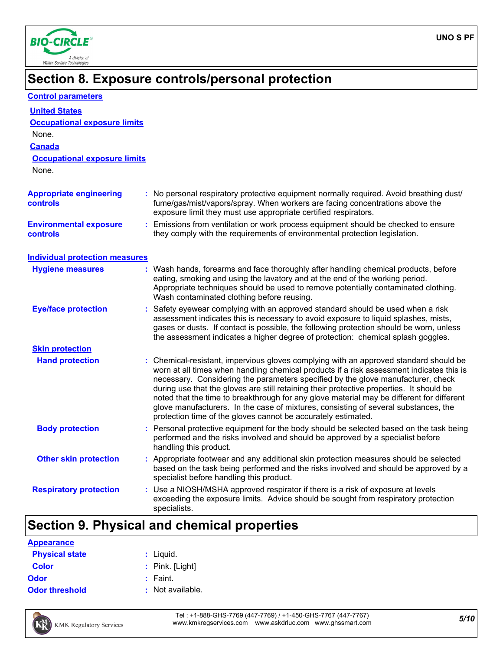

**Control parameters**

### **Section 8. Exposure controls/personal protection**

| <b>United States</b><br><b>Occupational exposure limits</b><br>None.<br><b>Canada</b><br><b>Occupational exposure limits</b><br>None. |                                                                                                                                                                                                                                                                                                                                                                                                                                                                                                                                                                                                                        |
|---------------------------------------------------------------------------------------------------------------------------------------|------------------------------------------------------------------------------------------------------------------------------------------------------------------------------------------------------------------------------------------------------------------------------------------------------------------------------------------------------------------------------------------------------------------------------------------------------------------------------------------------------------------------------------------------------------------------------------------------------------------------|
| <b>Appropriate engineering</b><br><b>controls</b>                                                                                     | : No personal respiratory protective equipment normally required. Avoid breathing dust/<br>fume/gas/mist/vapors/spray. When workers are facing concentrations above the<br>exposure limit they must use appropriate certified respirators.                                                                                                                                                                                                                                                                                                                                                                             |
| <b>Environmental exposure</b><br><b>controls</b>                                                                                      | : Emissions from ventilation or work process equipment should be checked to ensure<br>they comply with the requirements of environmental protection legislation.                                                                                                                                                                                                                                                                                                                                                                                                                                                       |
| <b>Individual protection measures</b>                                                                                                 |                                                                                                                                                                                                                                                                                                                                                                                                                                                                                                                                                                                                                        |
| <b>Hygiene measures</b>                                                                                                               | : Wash hands, forearms and face thoroughly after handling chemical products, before<br>eating, smoking and using the lavatory and at the end of the working period.<br>Appropriate techniques should be used to remove potentially contaminated clothing.<br>Wash contaminated clothing before reusing.                                                                                                                                                                                                                                                                                                                |
| <b>Eye/face protection</b>                                                                                                            | Safety eyewear complying with an approved standard should be used when a risk<br>assessment indicates this is necessary to avoid exposure to liquid splashes, mists,<br>gases or dusts. If contact is possible, the following protection should be worn, unless<br>the assessment indicates a higher degree of protection: chemical splash goggles.                                                                                                                                                                                                                                                                    |
| <b>Skin protection</b>                                                                                                                |                                                                                                                                                                                                                                                                                                                                                                                                                                                                                                                                                                                                                        |
| <b>Hand protection</b>                                                                                                                | : Chemical-resistant, impervious gloves complying with an approved standard should be<br>worn at all times when handling chemical products if a risk assessment indicates this is<br>necessary. Considering the parameters specified by the glove manufacturer, check<br>during use that the gloves are still retaining their protective properties. It should be<br>noted that the time to breakthrough for any glove material may be different for different<br>glove manufacturers. In the case of mixtures, consisting of several substances, the<br>protection time of the gloves cannot be accurately estimated. |
| <b>Body protection</b>                                                                                                                | : Personal protective equipment for the body should be selected based on the task being<br>performed and the risks involved and should be approved by a specialist before<br>handling this product.                                                                                                                                                                                                                                                                                                                                                                                                                    |
| <b>Other skin protection</b>                                                                                                          | : Appropriate footwear and any additional skin protection measures should be selected<br>based on the task being performed and the risks involved and should be approved by a<br>specialist before handling this product.                                                                                                                                                                                                                                                                                                                                                                                              |
| <b>Respiratory protection</b>                                                                                                         | : Use a NIOSH/MSHA approved respirator if there is a risk of exposure at levels<br>exceeding the exposure limits. Advice should be sought from respiratory protection<br>specialists.                                                                                                                                                                                                                                                                                                                                                                                                                                  |
|                                                                                                                                       |                                                                                                                                                                                                                                                                                                                                                                                                                                                                                                                                                                                                                        |

#### **Section 9. Physical and chemical properties**

#### **Physical state Color Appearance**

| <b>Physical state</b> | $:$ Liquid.       |
|-----------------------|-------------------|
| Color                 | $:$ Pink. [Light] |
| Odor                  | $:$ Faint.        |
|                       |                   |

**Odor threshold** : Not available.



*5/10* Tel : +1-888-GHS-7769 (447-7769) / +1-450-GHS-7767 (447-7767) www.kmkregservices.com www.askdrluc.com www.ghssmart.com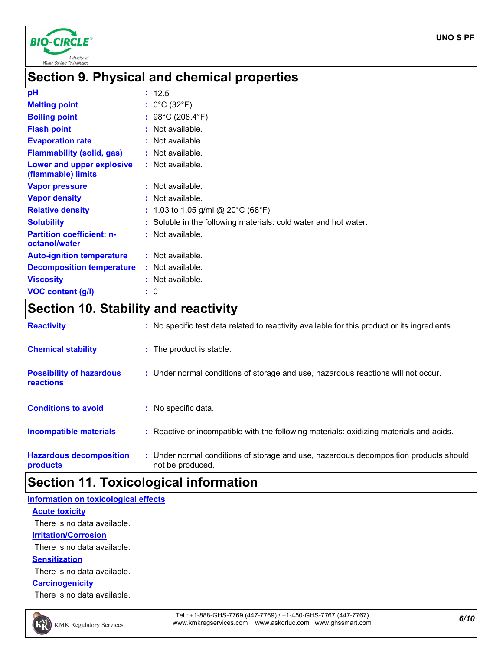

### **Section 9. Physical and chemical properties**

#### **pH**

| pH                                                | : 12.5                                                          |
|---------------------------------------------------|-----------------------------------------------------------------|
| <b>Melting point</b>                              | : $0^{\circ}$ C (32 $^{\circ}$ F)                               |
| <b>Boiling point</b>                              | : 98°C (208.4°F)                                                |
| <b>Flash point</b>                                | $:$ Not available.                                              |
| <b>Evaporation rate</b>                           | : Not available.                                                |
| <b>Flammability (solid, gas)</b>                  | : Not available.                                                |
| Lower and upper explosive<br>(flammable) limits   | $:$ Not available.                                              |
| <b>Vapor pressure</b>                             | : Not available.                                                |
| <b>Vapor density</b>                              | : Not available.                                                |
| <b>Relative density</b>                           | : 1.03 to 1.05 g/ml @ 20°C (68°F)                               |
| <b>Solubility</b>                                 | : Soluble in the following materials: cold water and hot water. |
| <b>Partition coefficient: n-</b><br>octanol/water | : Not available.                                                |
| <b>Auto-ignition temperature</b>                  | $:$ Not available.                                              |
| <b>Decomposition temperature</b>                  | : Not available.                                                |
| <b>Viscosity</b>                                  | : Not available.                                                |
| <b>VOC content (g/l)</b>                          | $\mathbf{.} \ \mathbf{0}$                                       |

# **Section 10. Stability and reactivity**

| <b>Reactivity</b>                                   | : No specific test data related to reactivity available for this product or its ingredients.              |
|-----------------------------------------------------|-----------------------------------------------------------------------------------------------------------|
| <b>Chemical stability</b>                           | : The product is stable.                                                                                  |
| <b>Possibility of hazardous</b><br><b>reactions</b> | : Under normal conditions of storage and use, hazardous reactions will not occur.                         |
| <b>Conditions to avoid</b>                          | : No specific data.                                                                                       |
| Incompatible materials                              | : Reactive or incompatible with the following materials: oxidizing materials and acids.                   |
| <b>Hazardous decomposition</b><br>products          | : Under normal conditions of storage and use, hazardous decomposition products should<br>not be produced. |

### **Section 11. Toxicological information**

**Acute toxicity Carcinogenicity Irritation/Corrosion Sensitization Information on toxicological effects** There is no data available. There is no data available. There is no data available.

There is no data available.

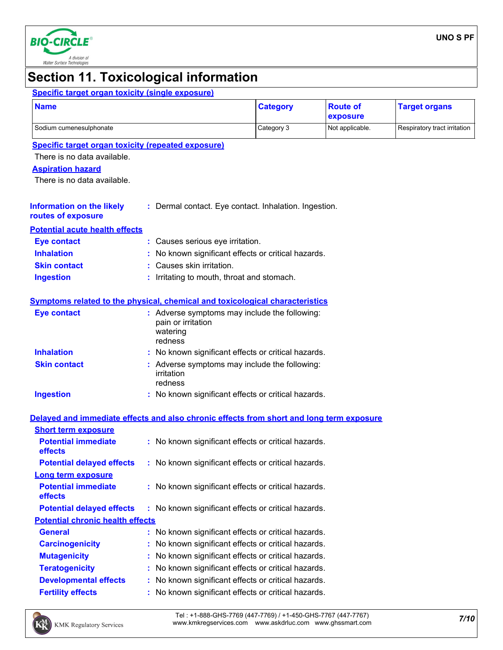

# **Section 11. Toxicological information**

| <b>Name</b>                                                                              |  |                                                                                            | <b>Category</b> | <b>Route of</b>              | <b>Target organs</b> |  |  |
|------------------------------------------------------------------------------------------|--|--------------------------------------------------------------------------------------------|-----------------|------------------------------|----------------------|--|--|
|                                                                                          |  |                                                                                            |                 | exposure                     |                      |  |  |
| Sodium cumenesulphonate                                                                  |  | Category 3                                                                                 | Not applicable. | Respiratory tract irritation |                      |  |  |
| <b>Specific target organ toxicity (repeated exposure)</b>                                |  |                                                                                            |                 |                              |                      |  |  |
| There is no data available.                                                              |  |                                                                                            |                 |                              |                      |  |  |
| <b>Aspiration hazard</b>                                                                 |  |                                                                                            |                 |                              |                      |  |  |
| There is no data available.                                                              |  |                                                                                            |                 |                              |                      |  |  |
| <b>Information on the likely</b>                                                         |  | : Dermal contact. Eye contact. Inhalation. Ingestion.                                      |                 |                              |                      |  |  |
| routes of exposure                                                                       |  |                                                                                            |                 |                              |                      |  |  |
| <b>Potential acute health effects</b>                                                    |  |                                                                                            |                 |                              |                      |  |  |
| <b>Eye contact</b>                                                                       |  | : Causes serious eye irritation.                                                           |                 |                              |                      |  |  |
| <b>Inhalation</b>                                                                        |  | No known significant effects or critical hazards.                                          |                 |                              |                      |  |  |
| <b>Skin contact</b>                                                                      |  | Causes skin irritation.                                                                    |                 |                              |                      |  |  |
| <b>Ingestion</b>                                                                         |  | : Irritating to mouth, throat and stomach.                                                 |                 |                              |                      |  |  |
| Symptoms related to the physical, chemical and toxicological characteristics             |  |                                                                                            |                 |                              |                      |  |  |
| <b>Eye contact</b>                                                                       |  | : Adverse symptoms may include the following:<br>pain or irritation<br>watering<br>redness |                 |                              |                      |  |  |
| <b>Inhalation</b>                                                                        |  | : No known significant effects or critical hazards.                                        |                 |                              |                      |  |  |
| <b>Skin contact</b>                                                                      |  | : Adverse symptoms may include the following:<br>irritation<br>redness                     |                 |                              |                      |  |  |
| <b>Ingestion</b>                                                                         |  | : No known significant effects or critical hazards.                                        |                 |                              |                      |  |  |
| Delayed and immediate effects and also chronic effects from short and long term exposure |  |                                                                                            |                 |                              |                      |  |  |
| <b>Short term exposure</b>                                                               |  |                                                                                            |                 |                              |                      |  |  |
| <b>Potential immediate</b><br>effects                                                    |  | : No known significant effects or critical hazards.                                        |                 |                              |                      |  |  |
| <b>Potential delayed effects</b>                                                         |  | : No known significant effects or critical hazards.                                        |                 |                              |                      |  |  |
| Long term exposure                                                                       |  |                                                                                            |                 |                              |                      |  |  |
| <b>Potential immediate</b><br>effects                                                    |  | : No known significant effects or critical hazards.                                        |                 |                              |                      |  |  |
| <b>Potential delayed effects</b>                                                         |  | No known significant effects or critical hazards.                                          |                 |                              |                      |  |  |
| <b>Potential chronic health effects</b>                                                  |  |                                                                                            |                 |                              |                      |  |  |
| <b>General</b>                                                                           |  | : No known significant effects or critical hazards.                                        |                 |                              |                      |  |  |
| <b>Carcinogenicity</b>                                                                   |  | No known significant effects or critical hazards.                                          |                 |                              |                      |  |  |
| <b>Mutagenicity</b>                                                                      |  | No known significant effects or critical hazards.                                          |                 |                              |                      |  |  |
| <b>Teratogenicity</b>                                                                    |  | No known significant effects or critical hazards.                                          |                 |                              |                      |  |  |
| <b>Developmental effects</b>                                                             |  | No known significant effects or critical hazards.                                          |                 |                              |                      |  |  |
|                                                                                          |  |                                                                                            |                 |                              |                      |  |  |
| <b>Fertility effects</b>                                                                 |  | No known significant effects or critical hazards.                                          |                 |                              |                      |  |  |

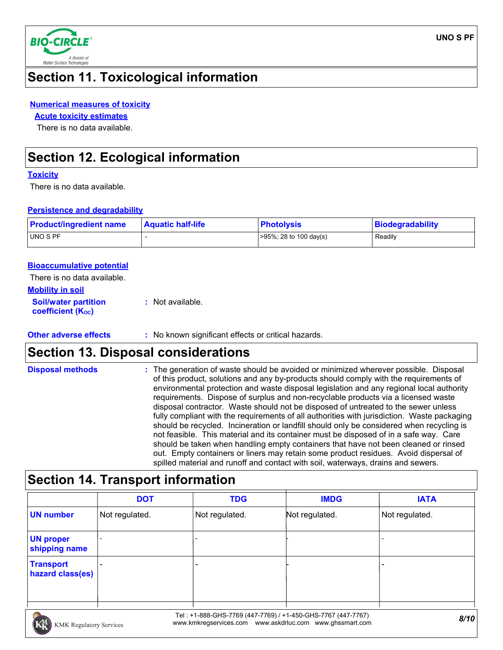

### **Section 11. Toxicological information**

#### **Numerical measures of toxicity**

**Acute toxicity estimates**

There is no data available.

### **Section 12. Ecological information**

#### **Toxicity**

There is no data available.

#### **Persistence and degradability**

| <b>Product/ingredient name</b> | <b>Aquatic half-life</b> | <b>Photolysis</b>             | Biodegradability |
|--------------------------------|--------------------------|-------------------------------|------------------|
| <b>UNO S PF</b>                |                          | $1 > 95\%$ ; 28 to 100 day(s) | Readily          |

#### **Bioaccumulative potential**

| There is no data available.                             |                  |  |
|---------------------------------------------------------|------------------|--|
| Mobility in soil                                        |                  |  |
| <b>Soil/water partition</b><br><b>coefficient (Koc)</b> | : Not available. |  |

**Other adverse effects** : No known significant effects or critical hazards.

### **Section 13. Disposal considerations**

| <b>Disposal methods</b> | : The generation of waste should be avoided or minimized wherever possible. Disposal        |
|-------------------------|---------------------------------------------------------------------------------------------|
|                         | of this product, solutions and any by-products should comply with the requirements of       |
|                         | environmental protection and waste disposal legislation and any regional local authority    |
|                         | requirements. Dispose of surplus and non-recyclable products via a licensed waste           |
|                         | disposal contractor. Waste should not be disposed of untreated to the sewer unless          |
|                         | fully compliant with the requirements of all authorities with jurisdiction. Waste packaging |
|                         | should be recycled. Incineration or landfill should only be considered when recycling is    |
|                         | not feasible. This material and its container must be disposed of in a safe way. Care       |
|                         | should be taken when handling empty containers that have not been cleaned or rinsed         |
|                         | out. Empty containers or liners may retain some product residues. Avoid dispersal of        |
|                         | spilled material and runoff and contact with soil, waterways, drains and sewers.            |

# **Section 14. Transport information**

|                                      | <b>DOT</b>               | <b>TDG</b>     | <b>IMDG</b>    | <b>IATA</b>    |
|--------------------------------------|--------------------------|----------------|----------------|----------------|
| <b>UN number</b>                     | Not regulated.           | Not regulated. | Not regulated. | Not regulated. |
| <b>UN proper</b><br>shipping name    | $\overline{\phantom{0}}$ |                |                |                |
| <b>Transport</b><br>hazard class(es) |                          |                |                |                |
|                                      |                          |                |                |                |

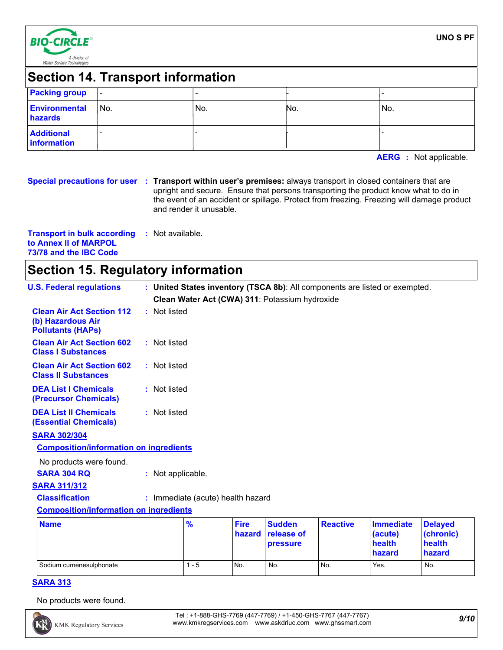

# **Section 14. Transport information**

| <b>Packing group</b>             | $\overline{\phantom{0}}$ |      |     |     |
|----------------------------------|--------------------------|------|-----|-----|
| <b>Environmental</b><br>hazards  | No.                      | 'No. | No. | No. |
| <b>Additional</b><br>information |                          |      |     |     |

**AERG :** Not applicable.

**Special precautions for user Transport within user's premises:** always transport in closed containers that are **:** upright and secure. Ensure that persons transporting the product know what to do in the event of an accident or spillage. Protect from freezing. Freezing will damage product and render it unusable.

**Transport in bulk according :** Not available. **to Annex II of MARPOL 73/78 and the IBC Code**

### **Section 15. Regulatory information**

| <b>U.S. Federal regulations</b>                                                   |                                   |                       |                                                |                 | : United States inventory (TSCA 8b): All components are listed or exempted. |                                                 |
|-----------------------------------------------------------------------------------|-----------------------------------|-----------------------|------------------------------------------------|-----------------|-----------------------------------------------------------------------------|-------------------------------------------------|
|                                                                                   |                                   |                       | Clean Water Act (CWA) 311: Potassium hydroxide |                 |                                                                             |                                                 |
| <b>Clean Air Act Section 112</b><br>(b) Hazardous Air<br><b>Pollutants (HAPs)</b> | : Not listed                      |                       |                                                |                 |                                                                             |                                                 |
| <b>Clean Air Act Section 602</b><br><b>Class I Substances</b>                     | : Not listed                      |                       |                                                |                 |                                                                             |                                                 |
| <b>Clean Air Act Section 602</b><br><b>Class II Substances</b>                    | : Not listed                      |                       |                                                |                 |                                                                             |                                                 |
| <b>DEA List I Chemicals</b><br>(Precursor Chemicals)                              | : Not listed                      |                       |                                                |                 |                                                                             |                                                 |
| <b>DEA List II Chemicals</b><br><b>(Essential Chemicals)</b>                      | : Not listed                      |                       |                                                |                 |                                                                             |                                                 |
| <b>SARA 302/304</b>                                                               |                                   |                       |                                                |                 |                                                                             |                                                 |
| <b>Composition/information on ingredients</b>                                     |                                   |                       |                                                |                 |                                                                             |                                                 |
| No products were found.                                                           |                                   |                       |                                                |                 |                                                                             |                                                 |
| <b>SARA 304 RQ</b>                                                                | : Not applicable.                 |                       |                                                |                 |                                                                             |                                                 |
| <b>SARA 311/312</b>                                                               |                                   |                       |                                                |                 |                                                                             |                                                 |
| <b>Classification</b>                                                             | : Immediate (acute) health hazard |                       |                                                |                 |                                                                             |                                                 |
| <b>Composition/information on ingredients</b>                                     |                                   |                       |                                                |                 |                                                                             |                                                 |
| <b>Name</b>                                                                       | $\frac{9}{6}$                     | <b>Fire</b><br>hazard | <b>Sudden</b><br>release of<br>pressure        | <b>Reactive</b> | <b>Immediate</b><br>(acute)<br>health<br>hazard                             | <b>Delayed</b><br>(chronic)<br>health<br>hazard |
| Sodium cumenesulphonate                                                           | $1 - 5$                           | No.                   | No.                                            | No.             | Yes.                                                                        | No.                                             |

# **SARA 313**

No products were found.